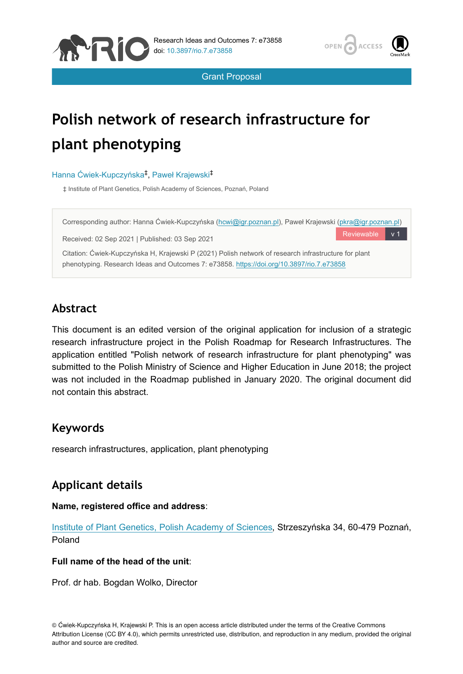



Grant Proposal

# **Polish network of research infrastructure for plant phenotyping**

#### Hanna Ćwiek-Kupczyńska<sup>‡</sup>, Paweł Krajewski<sup>‡</sup>

‡ Institute of Plant Genetics, Polish Academy of Sciences, Poznań, Poland



# **Abstract**

This document is an edited version of the original application for inclusion of a strategic research infrastructure project in the Polish Roadmap for Research Infrastructures. The application entitled "Polish network of research infrastructure for plant phenotyping" was submitted to the Polish Ministry of Science and Higher Education in June 2018; the project was not included in the Roadmap published in January 2020. The original document did not contain this abstract.

### **Keywords**

research infrastructures, application, plant phenotyping

# **Applicant details**

#### **Name, registered office and address**:

[Institute of Plant Genetics, Polish Academy of Sciences,](http://www.igr.poznan.pl) Strzeszyńska 34, 60-479 Poznań, Poland

#### **Full name of the head of the unit**:

Prof. dr hab. Bogdan Wolko, Director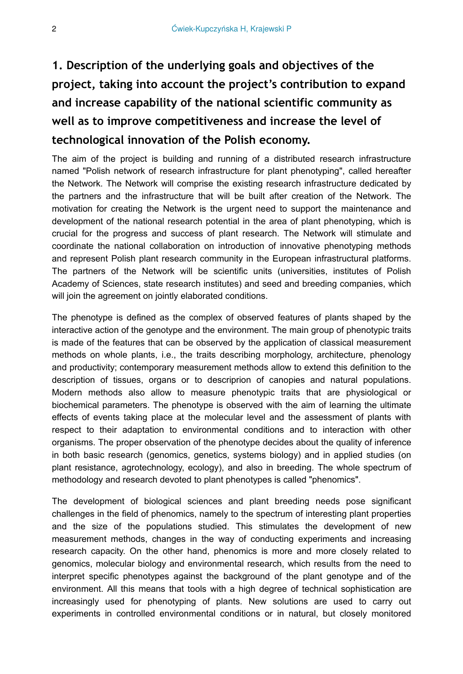# **1. Description of the underlying goals and objectives of the project, taking into account the project's contribution to expand and increase capability of the national scientific community as well as to improve competitiveness and increase the level of technological innovation of the Polish economy.**

The aim of the project is building and running of a distributed research infrastructure named "Polish network of research infrastructure for plant phenotyping", called hereafter the Network. The Network will comprise the existing research infrastructure dedicated by the partners and the infrastructure that will be built after creation of the Network. The motivation for creating the Network is the urgent need to support the maintenance and development of the national research potential in the area of plant phenotyping, which is crucial for the progress and success of plant research. The Network will stimulate and coordinate the national collaboration on introduction of innovative phenotyping methods and represent Polish plant research community in the European infrastructural platforms. The partners of the Network will be scientific units (universities, institutes of Polish Academy of Sciences, state research institutes) and seed and breeding companies, which will join the agreement on jointly elaborated conditions.

The phenotype is defined as the complex of observed features of plants shaped by the interactive action of the genotype and the environment. The main group of phenotypic traits is made of the features that can be observed by the application of classical measurement methods on whole plants, i.e., the traits describing morphology, architecture, phenology and productivity; contemporary measurement methods allow to extend this definition to the description of tissues, organs or to descriprion of canopies and natural populations. Modern methods also allow to measure phenotypic traits that are physiological or biochemical parameters. The phenotype is observed with the aim of learning the ultimate effects of events taking place at the molecular level and the assessment of plants with respect to their adaptation to environmental conditions and to interaction with other organisms. The proper observation of the phenotype decides about the quality of inference in both basic research (genomics, genetics, systems biology) and in applied studies (on plant resistance, agrotechnology, ecology), and also in breeding. The whole spectrum of methodology and research devoted to plant phenotypes is called "phenomics".

The development of biological sciences and plant breeding needs pose significant challenges in the field of phenomics, namely to the spectrum of interesting plant properties and the size of the populations studied. This stimulates the development of new measurement methods, changes in the way of conducting experiments and increasing research capacity. On the other hand, phenomics is more and more closely related to genomics, molecular biology and environmental research, which results from the need to interpret specific phenotypes against the background of the plant genotype and of the environment. All this means that tools with a high degree of technical sophistication are increasingly used for phenotyping of plants. New solutions are used to carry out experiments in controlled environmental conditions or in natural, but closely monitored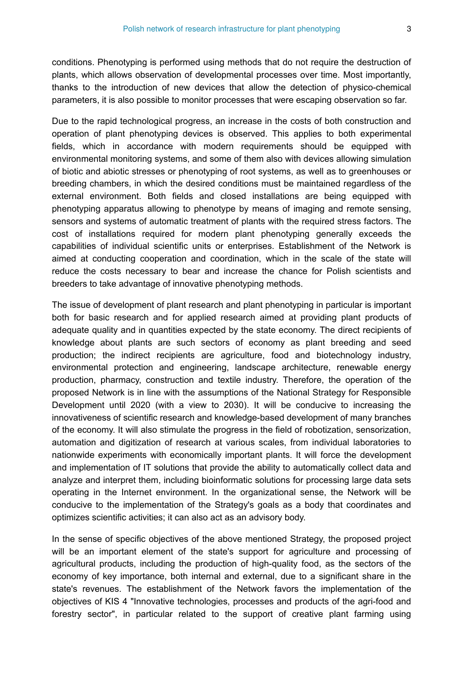conditions. Phenotyping is performed using methods that do not require the destruction of plants, which allows observation of developmental processes over time. Most importantly, thanks to the introduction of new devices that allow the detection of physico-chemical parameters, it is also possible to monitor processes that were escaping observation so far.

Due to the rapid technological progress, an increase in the costs of both construction and operation of plant phenotyping devices is observed. This applies to both experimental fields, which in accordance with modern requirements should be equipped with environmental monitoring systems, and some of them also with devices allowing simulation of biotic and abiotic stresses or phenotyping of root systems, as well as to greenhouses or breeding chambers, in which the desired conditions must be maintained regardless of the external environment. Both fields and closed installations are being equipped with phenotyping apparatus allowing to phenotype by means of imaging and remote sensing, sensors and systems of automatic treatment of plants with the required stress factors. The cost of installations required for modern plant phenotyping generally exceeds the capabilities of individual scientific units or enterprises. Establishment of the Network is aimed at conducting cooperation and coordination, which in the scale of the state will reduce the costs necessary to bear and increase the chance for Polish scientists and breeders to take advantage of innovative phenotyping methods.

The issue of development of plant research and plant phenotyping in particular is important both for basic research and for applied research aimed at providing plant products of adequate quality and in quantities expected by the state economy. The direct recipients of knowledge about plants are such sectors of economy as plant breeding and seed production; the indirect recipients are agriculture, food and biotechnology industry, environmental protection and engineering, landscape architecture, renewable energy production, pharmacy, construction and textile industry. Therefore, the operation of the proposed Network is in line with the assumptions of the National Strategy for Responsible Development until 2020 (with a view to 2030). It will be conducive to increasing the innovativeness of scientific research and knowledge-based development of many branches of the economy. It will also stimulate the progress in the field of robotization, sensorization, automation and digitization of research at various scales, from individual laboratories to nationwide experiments with economically important plants. It will force the development and implementation of IT solutions that provide the ability to automatically collect data and analyze and interpret them, including bioinformatic solutions for processing large data sets operating in the Internet environment. In the organizational sense, the Network will be conducive to the implementation of the Strategy's goals as a body that coordinates and optimizes scientific activities; it can also act as an advisory body.

In the sense of specific objectives of the above mentioned Strategy, the proposed project will be an important element of the state's support for agriculture and processing of agricultural products, including the production of high-quality food, as the sectors of the economy of key importance, both internal and external, due to a significant share in the state's revenues. The establishment of the Network favors the implementation of the objectives of KIS 4 "Innovative technologies, processes and products of the agri-food and forestry sector", in particular related to the support of creative plant farming using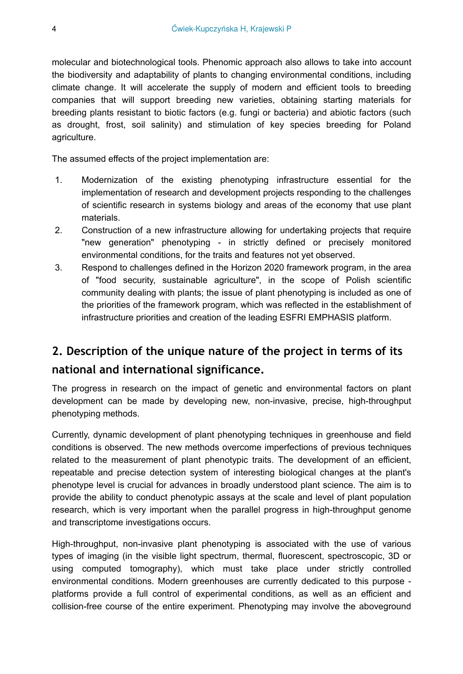molecular and biotechnological tools. Phenomic approach also allows to take into account the biodiversity and adaptability of plants to changing environmental conditions, including climate change. It will accelerate the supply of modern and efficient tools to breeding companies that will support breeding new varieties, obtaining starting materials for breeding plants resistant to biotic factors (e.g. fungi or bacteria) and abiotic factors (such as drought, frost, soil salinity) and stimulation of key species breeding for Poland agriculture.

The assumed effects of the project implementation are:

- 1. Modernization of the existing phenotyping infrastructure essential for the implementation of research and development projects responding to the challenges of scientific research in systems biology and areas of the economy that use plant materials.
- 2. Construction of a new infrastructure allowing for undertaking projects that require "new generation" phenotyping - in strictly defined or precisely monitored environmental conditions, for the traits and features not yet observed.
- 3. Respond to challenges defined in the Horizon 2020 framework program, in the area of "food security, sustainable agriculture", in the scope of Polish scientific community dealing with plants; the issue of plant phenotyping is included as one of the priorities of the framework program, which was reflected in the establishment of infrastructure priorities and creation of the leading ESFRI EMPHASIS platform.

# **2. Description of the unique nature of the project in terms of its national and international significance.**

The progress in research on the impact of genetic and environmental factors on plant development can be made by developing new, non-invasive, precise, high-throughput phenotyping methods.

Currently, dynamic development of plant phenotyping techniques in greenhouse and field conditions is observed. The new methods overcome imperfections of previous techniques related to the measurement of plant phenotypic traits. The development of an efficient, repeatable and precise detection system of interesting biological changes at the plant's phenotype level is crucial for advances in broadly understood plant science. The aim is to provide the ability to conduct phenotypic assays at the scale and level of plant population research, which is very important when the parallel progress in high-throughput genome and transcriptome investigations occurs.

High-throughput, non-invasive plant phenotyping is associated with the use of various types of imaging (in the visible light spectrum, thermal, fluorescent, spectroscopic, 3D or using computed tomography), which must take place under strictly controlled environmental conditions. Modern greenhouses are currently dedicated to this purpose platforms provide a full control of experimental conditions, as well as an efficient and collision-free course of the entire experiment. Phenotyping may involve the aboveground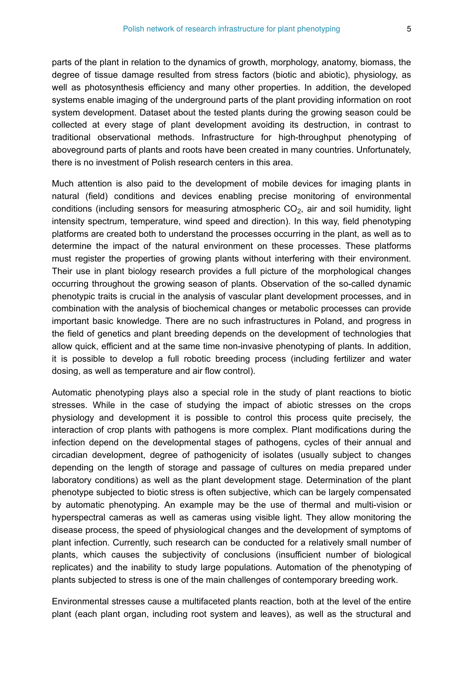parts of the plant in relation to the dynamics of growth, morphology, anatomy, biomass, the degree of tissue damage resulted from stress factors (biotic and abiotic), physiology, as well as photosynthesis efficiency and many other properties. In addition, the developed systems enable imaging of the underground parts of the plant providing information on root system development. Dataset about the tested plants during the growing season could be collected at every stage of plant development avoiding its destruction, in contrast to traditional observational methods. Infrastructure for high-throughput phenotyping of aboveground parts of plants and roots have been created in many countries. Unfortunately, there is no investment of Polish research centers in this area.

Much attention is also paid to the development of mobile devices for imaging plants in natural (field) conditions and devices enabling precise monitoring of environmental conditions (including sensors for measuring atmospheric  $CO<sub>2</sub>$ , air and soil humidity, light intensity spectrum, temperature, wind speed and direction). In this way, field phenotyping platforms are created both to understand the processes occurring in the plant, as well as to determine the impact of the natural environment on these processes. These platforms must register the properties of growing plants without interfering with their environment. Their use in plant biology research provides a full picture of the morphological changes occurring throughout the growing season of plants. Observation of the so-called dynamic phenotypic traits is crucial in the analysis of vascular plant development processes, and in combination with the analysis of biochemical changes or metabolic processes can provide important basic knowledge. There are no such infrastructures in Poland, and progress in the field of genetics and plant breeding depends on the development of technologies that allow quick, efficient and at the same time non-invasive phenotyping of plants. In addition, it is possible to develop a full robotic breeding process (including fertilizer and water dosing, as well as temperature and air flow control).

Automatic phenotyping plays also a special role in the study of plant reactions to biotic stresses. While in the case of studying the impact of abiotic stresses on the crops physiology and development it is possible to control this process quite precisely, the interaction of crop plants with pathogens is more complex. Plant modifications during the infection depend on the developmental stages of pathogens, cycles of their annual and circadian development, degree of pathogenicity of isolates (usually subject to changes depending on the length of storage and passage of cultures on media prepared under laboratory conditions) as well as the plant development stage. Determination of the plant phenotype subjected to biotic stress is often subjective, which can be largely compensated by automatic phenotyping. An example may be the use of thermal and multi-vision or hyperspectral cameras as well as cameras using visible light. They allow monitoring the disease process, the speed of physiological changes and the development of symptoms of plant infection. Currently, such research can be conducted for a relatively small number of plants, which causes the subjectivity of conclusions (insufficient number of biological replicates) and the inability to study large populations. Automation of the phenotyping of plants subjected to stress is one of the main challenges of contemporary breeding work.

Environmental stresses cause a multifaceted plants reaction, both at the level of the entire plant (each plant organ, including root system and leaves), as well as the structural and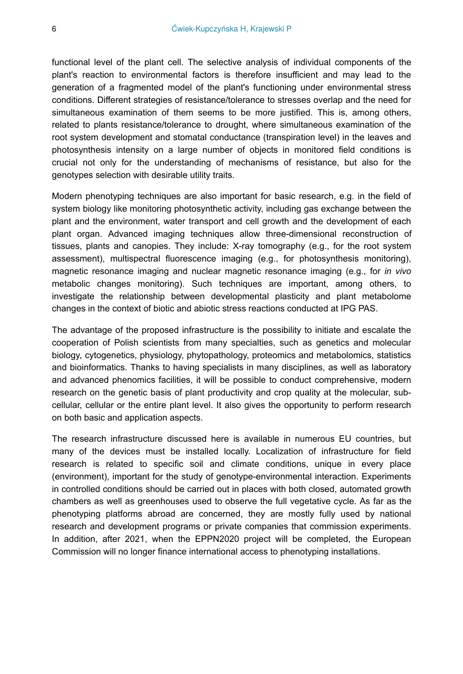functional level of the plant cell. The selective analysis of individual components of the plant's reaction to environmental factors is therefore insufficient and may lead to the generation of a fragmented model of the plant's functioning under environmental stress conditions. Different strategies of resistance/tolerance to stresses overlap and the need for simultaneous examination of them seems to be more justified. This is, among others, related to plants resistance/tolerance to drought, where simultaneous examination of the root system development and stomatal conductance (transpiration level) in the leaves and photosynthesis intensity on a large number of objects in monitored field conditions is crucial not only for the understanding of mechanisms of resistance, but also for the genotypes selection with desirable utility traits.

Modern phenotyping techniques are also important for basic research, e.g. in the field of system biology like monitoring photosynthetic activity, including gas exchange between the plant and the environment, water transport and cell growth and the development of each plant organ. Advanced imaging techniques allow three-dimensional reconstruction of tissues, plants and canopies. They include: X-ray tomography (e.g., for the root system assessment), multispectral fluorescence imaging (e.g., for photosynthesis monitoring), magnetic resonance imaging and nuclear magnetic resonance imaging (e.g., for *in vivo* metabolic changes monitoring). Such techniques are important, among others, to investigate the relationship between developmental plasticity and plant metabolome changes in the context of biotic and abiotic stress reactions conducted at IPG PAS.

The advantage of the proposed infrastructure is the possibility to initiate and escalate the cooperation of Polish scientists from many specialties, such as genetics and molecular biology, cytogenetics, physiology, phytopathology, proteomics and metabolomics, statistics and bioinformatics. Thanks to having specialists in many disciplines, as well as laboratory and advanced phenomics facilities, it will be possible to conduct comprehensive, modern research on the genetic basis of plant productivity and crop quality at the molecular, subcellular, cellular or the entire plant level. It also gives the opportunity to perform research on both basic and application aspects.

The research infrastructure discussed here is available in numerous EU countries, but many of the devices must be installed locally. Localization of infrastructure for field research is related to specific soil and climate conditions, unique in every place (environment), important for the study of genotype-environmental interaction. Experiments in controlled conditions should be carried out in places with both closed, automated growth chambers as well as greenhouses used to observe the full vegetative cycle. As far as the phenotyping platforms abroad are concerned, they are mostly fully used by national research and development programs or private companies that commission experiments. In addition, after 2021, when the EPPN2020 project will be completed, the European Commission will no longer finance international access to phenotyping installations.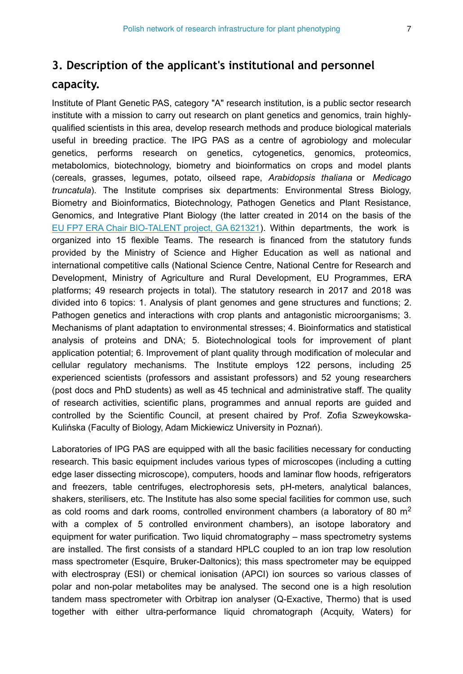### **3. Description of the applicant's institutional and personnel**

#### **capacity.**

Institute of Plant Genetic PAS, category "A" research institution, is a public sector research institute with a mission to carry out research on plant genetics and genomics, train highlyqualified scientists in this area, develop research methods and produce biological materials useful in breeding practice. The IPG PAS as a centre of agrobiology and molecular genetics, performs research on genetics, cytogenetics, genomics, proteomics, metabolomics, biotechnology, biometry and bioinformatics on crops and model plants (cereals, grasses, legumes, potato, oilseed rape, *Arabidopsis thaliana* or *Medicago truncatula*). The Institute comprises six departments: Environmental Stress Biology, Biometry and Bioinformatics, Biotechnology, Pathogen Genetics and Plant Resistance, Genomics, and Integrative Plant Biology (the latter created in 2014 on the basis of the [EU FP7 ERA Chair BIO-TALENT project, GA 621321\)](https://cordis.europa.eu/project/id/621321). Within departments, the work is organized into 15 flexible Teams. The research is financed from the statutory funds provided by the Ministry of Science and Higher Education as well as national and international competitive calls (National Science Centre, National Centre for Research and Development, Ministry of Agriculture and Rural Development, EU Programmes, ERA platforms; 49 research projects in total). The statutory research in 2017 and 2018 was divided into 6 topics: 1. Analysis of plant genomes and gene structures and functions; 2. Pathogen genetics and interactions with crop plants and antagonistic microorganisms; 3. Mechanisms of plant adaptation to environmental stresses; 4. Bioinformatics and statistical analysis of proteins and DNA; 5. Biotechnological tools for improvement of plant application potential; 6. Improvement of plant quality through modification of molecular and cellular regulatory mechanisms. The Institute employs 122 persons, including 25 experienced scientists (professors and assistant professors) and 52 young researchers (post docs and PhD students) as well as 45 technical and administrative staff. The quality of research activities, scientific plans, programmes and annual reports are guided and controlled by the Scientific Council, at present chaired by Prof. Zofia Szweykowska-Kulińska (Faculty of Biology, Adam Mickiewicz University in Poznań).

Laboratories of IPG PAS are equipped with all the basic facilities necessary for conducting research. This basic equipment includes various types of microscopes (including a cutting edge laser dissecting microscope), computers, hoods and laminar flow hoods, refrigerators and freezers, table centrifuges, electrophoresis sets, pH-meters, analytical balances, shakers, sterilisers, etc. The Institute has also some special facilities for common use, such as cold rooms and dark rooms, controlled environment chambers (a laboratory of 80  $m<sup>2</sup>$ with a complex of 5 controlled environment chambers), an isotope laboratory and equipment for water purification. Two liquid chromatography – mass spectrometry systems are installed. The first consists of a standard HPLC coupled to an ion trap low resolution mass spectrometer (Esquire, Bruker-Daltonics); this mass spectrometer may be equipped with electrospray (ESI) or chemical ionisation (APCI) ion sources so various classes of polar and non-polar metabolites may be analysed. The second one is a high resolution tandem mass spectrometer with Orbitrap ion analyser (Q-Exactive, Thermo) that is used together with either ultra-performance liquid chromatograph (Acquity, Waters) for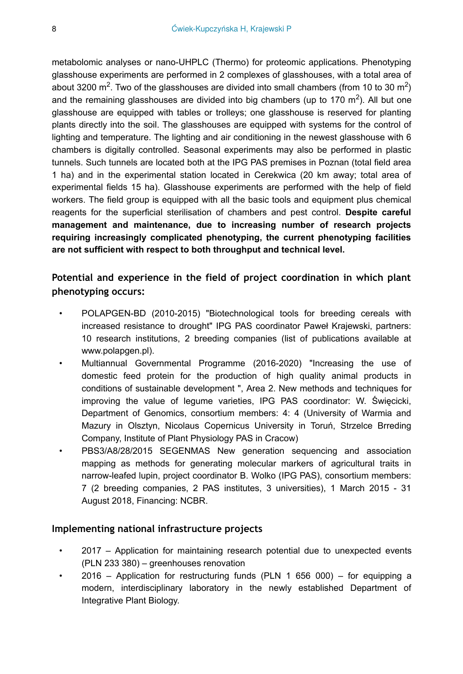metabolomic analyses or nano-UHPLC (Thermo) for proteomic applications. Phenotyping glasshouse experiments are performed in 2 complexes of glasshouses, with a total area of about 3200 m<sup>2</sup>. Two of the glasshouses are divided into small chambers (from 10 to 30 m<sup>2</sup>) and the remaining glasshouses are divided into big chambers (up to 170 m<sup>2</sup>). All but one glasshouse are equipped with tables or trolleys; one glasshouse is reserved for planting plants directly into the soil. The glasshouses are equipped with systems for the control of lighting and temperature. The lighting and air conditioning in the newest glasshouse with 6 chambers is digitally controlled. Seasonal experiments may also be performed in plastic tunnels. Such tunnels are located both at the IPG PAS premises in Poznan (total field area 1 ha) and in the experimental station located in Cerekwica (20 km away; total area of experimental fields 15 ha). Glasshouse experiments are performed with the help of field workers. The field group is equipped with all the basic tools and equipment plus chemical reagents for the superficial sterilisation of chambers and pest control. **Despite careful management and maintenance, due to increasing number of research projects requiring increasingly complicated phenotyping, the current phenotyping facilities are not sufficient with respect to both throughput and technical level.**

### **Potential and experience in the field of project coordination in which plant phenotyping occurs:**

- POLAPGEN-BD (2010-2015) "Biotechnological tools for breeding cereals with increased resistance to drought" IPG PAS coordinator Paweł Krajewski, partners: 10 research institutions, 2 breeding companies (list of publications available at www.polapgen.pl).
- Multiannual Governmental Programme (2016-2020) "Increasing the use of domestic feed protein for the production of high quality animal products in conditions of sustainable development ", Area 2. New methods and techniques for improving the value of legume varieties, IPG PAS coordinator: W. Święcicki, Department of Genomics, consortium members: 4: 4 (University of Warmia and Mazury in Olsztyn, Nicolaus Copernicus University in Toruń, Strzelce Brreding Company, Institute of Plant Physiology PAS in Cracow)
- PBS3/A8/28/2015 SEGENMAS New generation sequencing and association mapping as methods for generating molecular markers of agricultural traits in narrow-leafed lupin, project coordinator B. Wolko (IPG PAS), consortium members: 7 (2 breeding companies, 2 PAS institutes, 3 universities), 1 March 2015 - 31 August 2018, Financing: NCBR.

#### **Implementing national infrastructure projects**

- 2017 Application for maintaining research potential due to unexpected events (PLN 233 380) – greenhouses renovation
- $2016$  Application for restructuring funds (PLN 1 656 000) for equipping a modern, interdisciplinary laboratory in the newly established Department of Integrative Plant Biology.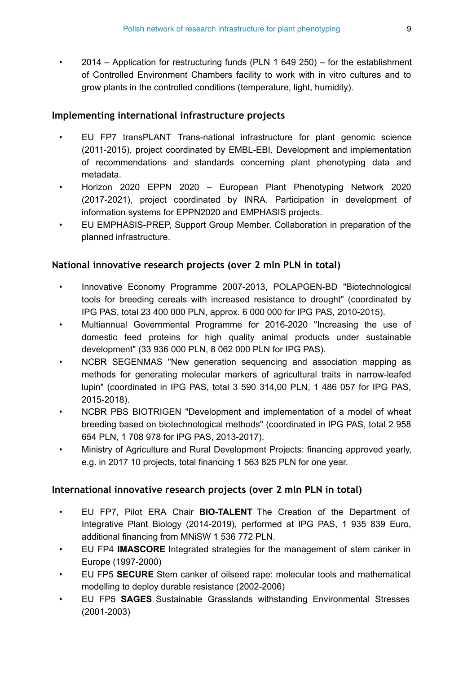• 2014 – Application for restructuring funds (PLN 1 649 250) – for the establishment of Controlled Environment Chambers facility to work with in vitro cultures and to grow plants in the controlled conditions (temperature, light, humidity).

#### **Implementing international infrastructure projects**

- EU FP7 transPLANT Trans-national infrastructure for plant genomic science (2011-2015), project coordinated by EMBL-EBI. Development and implementation of recommendations and standards concerning plant phenotyping data and metadata.
- Horizon 2020 EPPN 2020 European Plant Phenotyping Network 2020 (2017-2021), project coordinated by INRA. Participation in development of information systems for EPPN2020 and EMPHASIS projects.
- EU EMPHASIS-PREP, Support Group Member. Collaboration in preparation of the planned infrastructure.

#### **National innovative research projects (over 2 mln PLN in total)**

- Innovative Economy Programme 2007-2013, POLAPGEN-BD "Biotechnological tools for breeding cereals with increased resistance to drought" (coordinated by IPG PAS, total 23 400 000 PLN, approx. 6 000 000 for IPG PAS, 2010-2015).
- Multiannual Governmental Programme for 2016-2020 "Increasing the use of domestic feed proteins for high quality animal products under sustainable development" (33 936 000 PLN, 8 062 000 PLN for IPG PAS).
- NCBR SEGENMAS "New generation sequencing and association mapping as methods for generating molecular markers of agricultural traits in narrow-leafed lupin" (coordinated in IPG PAS, total 3 590 314,00 PLN, 1 486 057 for IPG PAS, 2015-2018).
- NCBR PBS BIOTRIGEN "Development and implementation of a model of wheat breeding based on biotechnological methods" (coordinated in IPG PAS, total 2 958 654 PLN, 1 708 978 for IPG PAS, 2013-2017).
- Ministry of Agriculture and Rural Development Projects: financing approved yearly, e.g. in 2017 10 projects, total financing 1 563 825 PLN for one year.

#### **International innovative research projects (over 2 mln PLN in total)**

- EU FP7, Pilot ERA Chair **BIO-TALENT** The Creation of the Department of Integrative Plant Biology (2014-2019), performed at IPG PAS, 1 935 839 Euro, additional financing from MNiSW 1 536 772 PLN.
- EU FP4 **IMASCORE** Integrated strategies for the management of stem canker in Europe (1997-2000)
- EU FP5 **SECURE** Stem canker of oilseed rape: molecular tools and mathematical modelling to deploy durable resistance (2002-2006)
- EU FP5 **SAGES** Sustainable Grasslands withstanding Environmental Stresses (2001-2003)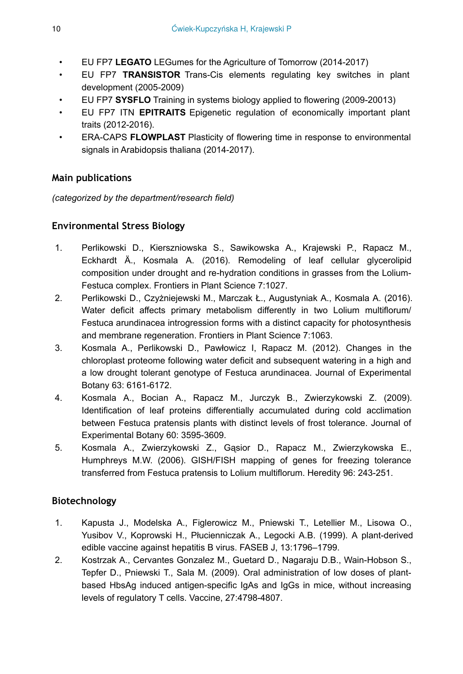- EU FP7 **LEGATO** LEGumes for the Agriculture of Tomorrow (2014-2017)
- EU FP7 **TRANSISTOR** Trans-Cis elements regulating key switches in plant development (2005-2009)
- EU FP7 **SYSFLO** Training in systems biology applied to flowering (2009-20013)
- EU FP7 ITN **EPITRAITS** Epigenetic regulation of economically important plant traits (2012-2016).
- ERA-CAPS **FLOWPLAST** Plasticity of flowering time in response to environmental signals in Arabidopsis thaliana (2014-2017).

### **Main publications**

*(categorized by the department/research field)*

### **Environmental Stress Biology**

- 1. Perlikowski D., Kierszniowska S., Sawikowska A., Krajewski P., Rapacz M., Eckhardt Ä., Kosmala A. (2016). Remodeling of leaf cellular glycerolipid composition under drought and re-hydration conditions in grasses from the Lolium-Festuca complex. Frontiers in Plant Science 7:1027.
- 2. Perlikowski D., Czyżniejewski M., Marczak Ł., Augustyniak A., Kosmala A. (2016). Water deficit affects primary metabolism differently in two Lolium multiflorum/ Festuca arundinacea introgression forms with a distinct capacity for photosynthesis and membrane regeneration. Frontiers in Plant Science 7:1063.
- 3. Kosmala A., Perlikowski D., Pawłowicz I, Rapacz M. (2012). Changes in the chloroplast proteome following water deficit and subsequent watering in a high and a low drought tolerant genotype of Festuca arundinacea. Journal of Experimental Botany 63: 6161-6172.
- 4. Kosmala A., Bocian A., Rapacz M., Jurczyk B., Zwierzykowski Z. (2009). Identification of leaf proteins differentially accumulated during cold acclimation between Festuca pratensis plants with distinct levels of frost tolerance. Journal of Experimental Botany 60: 3595-3609.
- 5. Kosmala A., Zwierzykowski Z., Gąsior D., Rapacz M., Zwierzykowska E., Humphreys M.W. (2006). GISH/FISH mapping of genes for freezing tolerance transferred from Festuca pratensis to Lolium multiflorum. Heredity 96: 243-251.

### **Biotechnology**

- 1. Kapusta J., Modelska A., Figlerowicz M., Pniewski T., Letellier M., Lisowa O., Yusibov V., Koprowski H., Płucienniczak A., Legocki A.B. (1999). A plant-derived edible vaccine against hepatitis B virus. FASEB J, 13:1796–1799.
- 2. Kostrzak A., Cervantes Gonzalez M., Guetard D., Nagaraju D.B., Wain-Hobson S., Tepfer D., Pniewski T., Sala M. (2009). Oral administration of low doses of plantbased HbsAg induced antigen-specific IgAs and IgGs in mice, without increasing levels of regulatory T cells. Vaccine, 27:4798-4807.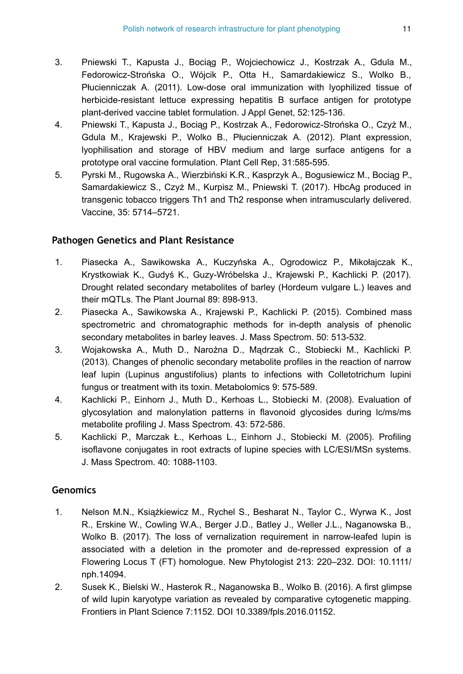- 3. Pniewski T., Kapusta J., Bociąg P., Wojciechowicz J., Kostrzak A., Gdula M., Fedorowicz-Strońska O., Wójcik P., Otta H., Samardakiewicz S., Wolko B., Płucienniczak A. (2011). Low-dose oral immunization with lyophilized tissue of herbicide-resistant lettuce expressing hepatitis B surface antigen for prototype plant-derived vaccine tablet formulation. J Appl Genet, 52:125-136.
- 4. Pniewski T., Kapusta J., Bociąg P., Kostrzak A., Fedorowicz-Strońska O., Czyż M., Gdula M., Krajewski P., Wolko B., Płucienniczak A. (2012). Plant expression, lyophilisation and storage of HBV medium and large surface antigens for a prototype oral vaccine formulation. Plant Cell Rep, 31:585-595.
- 5. Pyrski M., Rugowska A., Wierzbiński K.R., Kasprzyk A., Bogusiewicz M., Bociąg P., Samardakiewicz S., Czyż M., Kurpisz M., Pniewski T. (2017). HbcAg produced in transgenic tobacco triggers Th1 and Th2 response when intramuscularly delivered. Vaccine, 35: 5714–5721.

#### **Pathogen Genetics and Plant Resistance**

- 1. Piasecka A., Sawikowska A., Kuczyńska A., Ogrodowicz P., Mikołajczak K., Krystkowiak K., Gudyś K., Guzy-Wróbelska J., Krajewski P., Kachlicki P. (2017). Drought related secondary metabolites of barley (Hordeum vulgare L.) leaves and their mQTLs. The Plant Journal 89: 898-913.
- 2. Piasecka A., Sawikowska A., Krajewski P., Kachlicki P. (2015). Combined mass spectrometric and chromatographic methods for in-depth analysis of phenolic secondary metabolites in barley leaves. J. Mass Spectrom. 50: 513-532.
- 3. Wojakowska A., Muth D., Narożna D., Mądrzak C., Stobiecki M., Kachlicki P. (2013). Changes of phenolic secondary metabolite profiles in the reaction of narrow leaf lupin (Lupinus angustifolius) plants to infections with Colletotrichum lupini fungus or treatment with its toxin. Metabolomics 9: 575-589.
- 4. Kachlicki P., Einhorn J., Muth D., Kerhoas L., Stobiecki M. (2008). Evaluation of glycosylation and malonylation patterns in flavonoid glycosides during lc/ms/ms metabolite profiling J. Mass Spectrom. 43: 572-586.
- 5. Kachlicki P., Marczak Ł., Kerhoas L., Einhorn J., Stobiecki M. (2005). Profiling isoflavone conjugates in root extracts of lupine species with LC/ESI/MSn systems. J. Mass Spectrom. 40: 1088-1103.

### **Genomics**

- 1. Nelson M.N., Książkiewicz M., Rychel S., Besharat N., Taylor C., Wyrwa K., Jost R., Erskine W., Cowling W.A., Berger J.D., Batley J., Weller J.L., Naganowska B., Wolko B. (2017). The loss of vernalization requirement in narrow-leafed lupin is associated with a deletion in the promoter and de-repressed expression of a Flowering Locus T (FT) homologue. New Phytologist 213: 220–232. DOI: 10.1111/ nph.14094.
- 2. Susek K., Bielski W., Hasterok R., Naganowska B., Wolko B. (2016). A first glimpse of wild lupin karyotype variation as revealed by comparative cytogenetic mapping. Frontiers in Plant Science 7:1152. DOI 10.3389/fpls.2016.01152.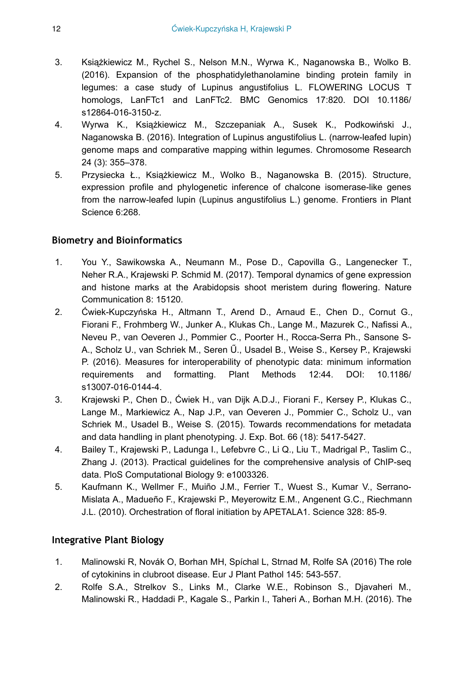- 3. Książkiewicz M., Rychel S., Nelson M.N., Wyrwa K., Naganowska B., Wolko B. (2016). Expansion of the phosphatidylethanolamine binding protein family in legumes: a case study of Lupinus angustifolius L. FLOWERING LOCUS T homologs, LanFTc1 and LanFTc2. BMC Genomics 17:820. DOI 10.1186/ s12864-016-3150-z.
- 4. Wyrwa K., Książkiewicz M., Szczepaniak A., Susek K., Podkowiński J., Naganowska B. (2016). Integration of Lupinus angustifolius L. (narrow-leafed lupin) genome maps and comparative mapping within legumes. Chromosome Research 24 (3): 355–378.
- 5. Przysiecka Ł., Książkiewicz M., Wolko B., Naganowska B. (2015). Structure, expression profile and phylogenetic inference of chalcone isomerase-like genes from the narrow-leafed lupin (Lupinus angustifolius L.) genome. Frontiers in Plant Science 6:268.

#### **Biometry and Bioinformatics**

- 1. You Y., Sawikowska A., Neumann M., Pose D., Capovilla G., Langenecker T., Neher R.A., Krajewski P. Schmid M. (2017). Temporal dynamics of gene expression and histone marks at the Arabidopsis shoot meristem during flowering. Nature Communication 8: 15120.
- 2. Ćwiek-Kupczyńska H., Altmann T., Arend D., Arnaud E., Chen D., Cornut G., Fiorani F., Frohmberg W., Junker A., Klukas Ch., Lange M., Mazurek C., Nafissi A., Neveu P., van Oeveren J., Pommier C., Poorter H., Rocca-Serra Ph., Sansone S-A., Scholz U., van Schriek M., Seren Ű., Usadel B., Weise S., Kersey P., Krajewski P. (2016). Measures for interoperability of phenotypic data: minimum information requirements and formatting. Plant Methods 12:44. DOI: 10.1186/ s13007-016-0144-4.
- 3. Krajewski P., Chen D., Ćwiek H., van Dijk A.D.J., Fiorani F., Kersey P., Klukas C., Lange M., Markiewicz A., Nap J.P., van Oeveren J., Pommier C., Scholz U., van Schriek M., Usadel B., Weise S. (2015). Towards recommendations for metadata and data handling in plant phenotyping. J. Exp. Bot. 66 (18): 5417-5427.
- 4. Bailey T., Krajewski P., Ladunga I., Lefebvre C., Li Q., Liu T., Madrigal P., Taslim C., Zhang J. (2013). Practical guidelines for the comprehensive analysis of ChIP-seq data. PloS Computational Biology 9: e1003326.
- 5. Kaufmann K., Wellmer F., Muiño J.M., Ferrier T., Wuest S., Kumar V., Serrano-Mislata A., Madueño F., Krajewski P., Meyerowitz E.M., Angenent G.C., Riechmann J.L. (2010). Orchestration of floral initiation by APETALA1. Science 328: 85-9.

#### **Integrative Plant Biology**

- 1. Malinowski R, Novák O, Borhan MH, Spíchal L, Strnad M, Rolfe SA (2016) The role of cytokinins in clubroot disease. Eur J Plant Pathol 145: 543-557.
- 2. Rolfe S.A., Strelkov S., Links M., Clarke W.E., Robinson S., Djavaheri M., Malinowski R., Haddadi P., Kagale S., Parkin I., Taheri A., Borhan M.H. (2016). The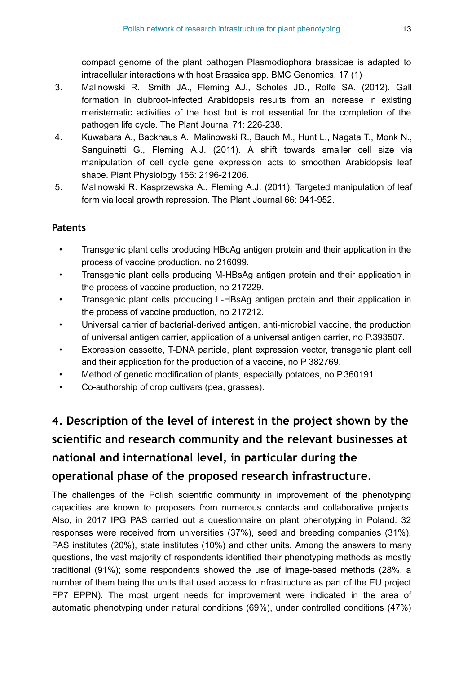compact genome of the plant pathogen Plasmodiophora brassicae is adapted to intracellular interactions with host Brassica spp. BMC Genomics. 17 (1)

- 3. Malinowski R., Smith JA., Fleming AJ., Scholes JD., Rolfe SA. (2012). Gall formation in clubroot-infected Arabidopsis results from an increase in existing meristematic activities of the host but is not essential for the completion of the pathogen life cycle. The Plant Journal 71: 226-238.
- 4. Kuwabara A., Backhaus A., Malinowski R., Bauch M., Hunt L., Nagata T., Monk N., Sanguinetti G., Fleming A.J. (2011). A shift towards smaller cell size via manipulation of cell cycle gene expression acts to smoothen Arabidopsis leaf shape. Plant Physiology 156: 2196-21206.
- 5. Malinowski R. Kasprzewska A., Fleming A.J. (2011). Targeted manipulation of leaf form via local growth repression. The Plant Journal 66: 941-952.

### **Patents**

- Transgenic plant cells producing HBcAg antigen protein and their application in the process of vaccine production, no 216099.
- Transgenic plant cells producing M-HBsAg antigen protein and their application in the process of vaccine production, no 217229.
- Transgenic plant cells producing L-HBsAg antigen protein and their application in the process of vaccine production, no 217212.
- Universal carrier of bacterial-derived antigen, anti-microbial vaccine, the production of universal antigen carrier, application of a universal antigen carrier, no P.393507.
- Expression cassette, T-DNA particle, plant expression vector, transgenic plant cell and their application for the production of a vaccine, no P 382769.
- Method of genetic modification of plants, especially potatoes, no P.360191.
- Co-authorship of crop cultivars (pea, grasses).

# **4. Description of the level of interest in the project shown by the scientific and research community and the relevant businesses at national and international level, in particular during the operational phase of the proposed research infrastructure.**

The challenges of the Polish scientific community in improvement of the phenotyping capacities are known to proposers from numerous contacts and collaborative projects. Also, in 2017 IPG PAS carried out a questionnaire on plant phenotyping in Poland. 32 responses were received from universities (37%), seed and breeding companies (31%), PAS institutes (20%), state institutes (10%) and other units. Among the answers to many questions, the vast majority of respondents identified their phenotyping methods as mostly traditional (91%); some respondents showed the use of image-based methods (28%, a number of them being the units that used access to infrastructure as part of the EU project FP7 EPPN). The most urgent needs for improvement were indicated in the area of automatic phenotyping under natural conditions (69%), under controlled conditions (47%)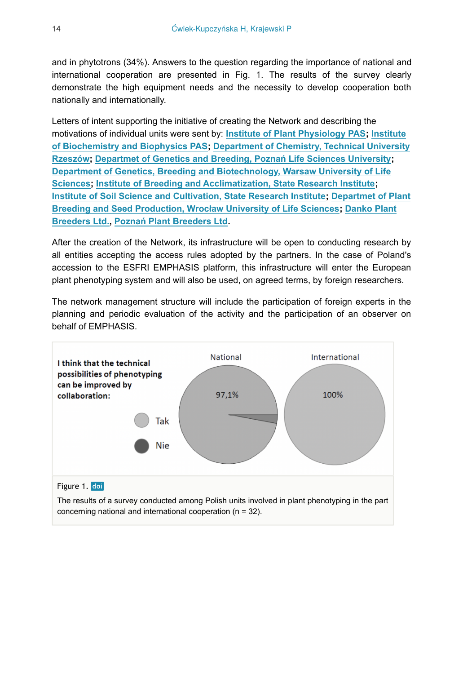and in phytotrons (34%). Answers to the question regarding the importance of national and international cooperation are presented in Fig. [1](#page-13-0). The results of the survey clearly demonstrate the high equipment needs and the necessity to develop cooperation both nationally and internationally.

Letters of intent supporting the initiative of creating the Network and describing the motivations of individual units were sent by: **[Institute of Plant Physiology PAS](https://ifr-pan.edu.pl); [Institute](https://ibb.edu.pl) [of Biochemistry and Biophysics PAS;](https://ibb.edu.pl) [Department of Chemistry, Technical University](https://wch.prz.edu.pl) [Rzeszów](https://wch.prz.edu.pl); [Departmet of Genetics and Breeding, Pozna](https://genetyka.up.poznan.pl)ń Life Sciences University; [Department of Genetics, Breeding and Biotechnology, Warsaw University of Life](https://bw.sggw.edu.pl/info/affiliation/WULS7d8b2ba07f0f4cbf877acffce06b4acf/Department+of+Plant+Genetics%2C+Breeding%2C+and+Biotechnology?r=affiliation&lang=en&cid=71162) [Sciences](https://bw.sggw.edu.pl/info/affiliation/WULS7d8b2ba07f0f4cbf877acffce06b4acf/Department+of+Plant+Genetics%2C+Breeding%2C+and+Biotechnology?r=affiliation&lang=en&cid=71162); [Institute of Breeding and Acclimatization, State Research Institute;](https://www.ihar.edu.pl) [Institute of Soil Science and Cultivation, State Research Institute;](http://www.iung.pl) [Departmet of Plant](https://upwr.edu.pl/uczelnia/struktura-uczelni/index,katedra-genetyki--hodowli-roslin-i-nasiennictwa.html) [Breeding and Seed Production, Wroc](https://upwr.edu.pl/uczelnia/struktura-uczelni/index,katedra-genetyki--hodowli-roslin-i-nasiennictwa.html)ław University of Life Sciences; [Danko Plant](http://danko.pl) [Breeders Ltd.](http://danko.pl), Poznań [Plant Breeders Ltd.](http://phr.pl)**

After the creation of the Network, its infrastructure will be open to conducting research by all entities accepting the access rules adopted by the partners. In the case of Poland's accession to the ESFRI EMPHASIS platform, this infrastructure will enter the European plant phenotyping system and will also be used, on agreed terms, by foreign researchers.

The network management structure will include the participation of foreign experts in the planning and periodic evaluation of the activity and the participation of an observer on behalf of EMPHASIS.

<span id="page-13-0"></span>

The results of a survey conducted among Polish units involved in plant phenotyping in the part concerning national and international cooperation (n = 32).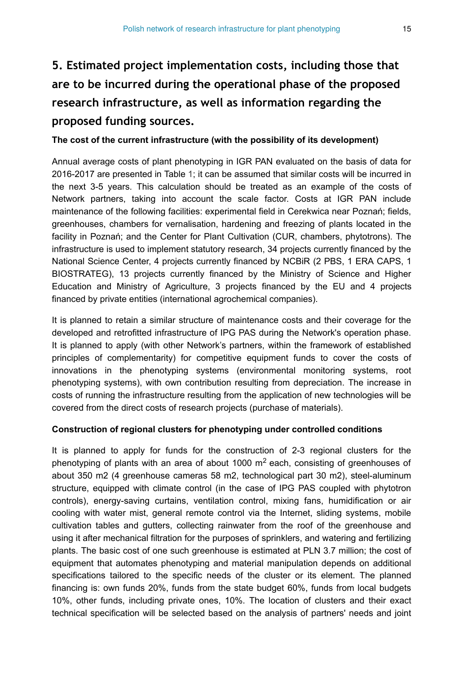# **5. Estimated project implementation costs, including those that are to be incurred during the operational phase of the proposed research infrastructure, as well as information regarding the proposed funding sources.**

#### **The cost of the current infrastructure (with the possibility of its development)**

Annual average costs of plant phenotyping in IGR PAN evaluated on the basis of data for 2016-2017 are presented in Table [1;](#page-15-0) it can be assumed that similar costs will be incurred in the next 3-5 years. This calculation should be treated as an example of the costs of Network partners, taking into account the scale factor. Costs at IGR PAN include maintenance of the following facilities: experimental field in Cerekwica near Poznań; fields, greenhouses, chambers for vernalisation, hardening and freezing of plants located in the facility in Poznań; and the Center for Plant Cultivation (CUR, chambers, phytotrons). The infrastructure is used to implement statutory research, 34 projects currently financed by the National Science Center, 4 projects currently financed by NCBiR (2 PBS, 1 ERA CAPS, 1 BIOSTRATEG), 13 projects currently financed by the Ministry of Science and Higher Education and Ministry of Agriculture, 3 projects financed by the EU and 4 projects financed by private entities (international agrochemical companies).

It is planned to retain a similar structure of maintenance costs and their coverage for the developed and retrofitted infrastructure of IPG PAS during the Network's operation phase. It is planned to apply (with other Network's partners, within the framework of established principles of complementarity) for competitive equipment funds to cover the costs of innovations in the phenotyping systems (environmental monitoring systems, root phenotyping systems), with own contribution resulting from depreciation. The increase in costs of running the infrastructure resulting from the application of new technologies will be covered from the direct costs of research projects (purchase of materials).

#### **Construction of regional clusters for phenotyping under controlled conditions**

It is planned to apply for funds for the construction of 2-3 regional clusters for the phenotyping of plants with an area of about 1000  $m<sup>2</sup>$  each, consisting of greenhouses of about 350 m2 (4 greenhouse cameras 58 m2, technological part 30 m2), steel-aluminum structure, equipped with climate control (in the case of IPG PAS coupled with phytotron controls), energy-saving curtains, ventilation control, mixing fans, humidification or air cooling with water mist, general remote control via the Internet, sliding systems, mobile cultivation tables and gutters, collecting rainwater from the roof of the greenhouse and using it after mechanical filtration for the purposes of sprinklers, and watering and fertilizing plants. The basic cost of one such greenhouse is estimated at PLN 3.7 million; the cost of equipment that automates phenotyping and material manipulation depends on additional specifications tailored to the specific needs of the cluster or its element. The planned financing is: own funds 20%, funds from the state budget 60%, funds from local budgets 10%, other funds, including private ones, 10%. The location of clusters and their exact technical specification will be selected based on the analysis of partners' needs and joint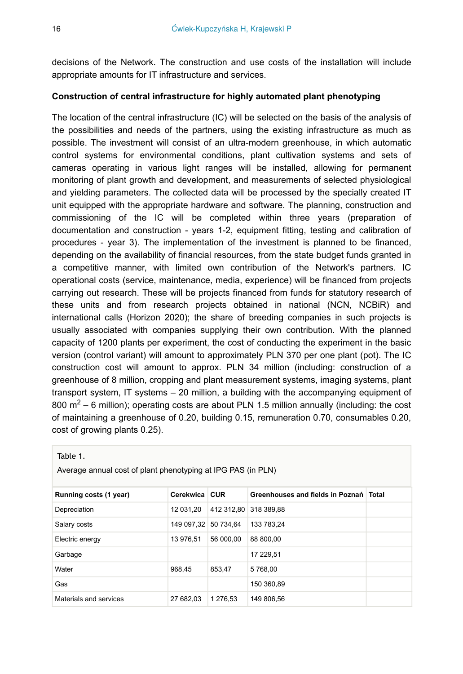decisions of the Network. The construction and use costs of the installation will include appropriate amounts for IT infrastructure and services.

#### **Construction of central infrastructure for highly automated plant phenotyping**

The location of the central infrastructure (IC) will be selected on the basis of the analysis of the possibilities and needs of the partners, using the existing infrastructure as much as possible. The investment will consist of an ultra-modern greenhouse, in which automatic control systems for environmental conditions, plant cultivation systems and sets of cameras operating in various light ranges will be installed, allowing for permanent monitoring of plant growth and development, and measurements of selected physiological and yielding parameters. The collected data will be processed by the specially created IT unit equipped with the appropriate hardware and software. The planning, construction and commissioning of the IC will be completed within three years (preparation of documentation and construction - years 1-2, equipment fitting, testing and calibration of procedures - year 3). The implementation of the investment is planned to be financed, depending on the availability of financial resources, from the state budget funds granted in a competitive manner, with limited own contribution of the Network's partners. IC operational costs (service, maintenance, media, experience) will be financed from projects carrying out research. These will be projects financed from funds for statutory research of these units and from research projects obtained in national (NCN, NCBiR) and international calls (Horizon 2020); the share of breeding companies in such projects is usually associated with companies supplying their own contribution. With the planned capacity of 1200 plants per experiment, the cost of conducting the experiment in the basic version (control variant) will amount to approximately PLN 370 per one plant (pot). The IC construction cost will amount to approx. PLN 34 million (including: construction of a greenhouse of 8 million, cropping and plant measurement systems, imaging systems, plant transport system, IT systems – 20 million, a building with the accompanying equipment of 800 m<sup>2</sup> – 6 million); operating costs are about PLN 1.5 million annually (including: the cost of maintaining a greenhouse of 0.20, building 0.15, remuneration 0.70, consumables 0.20, cost of growing plants 0.25).

<span id="page-15-0"></span>Table 1.

Average annual cost of plant phenotyping at IPG PAS (in PLN)

| Running costs (1 year) | Cerekwica  | <b>CUR</b>            | Greenhouses and fields in Poznań Total |  |
|------------------------|------------|-----------------------|----------------------------------------|--|
| Depreciation           | 12 031.20  | 412 312.80 318 389.88 |                                        |  |
| Salary costs           | 149 097,32 | 50 734.64             | 133 783.24                             |  |
| Electric energy        | 13 976.51  | 56 000.00             | 88 800.00                              |  |
| Garbage                |            |                       | 17 229.51                              |  |
| Water                  | 968.45     | 853.47                | 5768.00                                |  |
| Gas                    |            |                       | 150 360.89                             |  |
| Materials and services | 27 682.03  | 1 276.53              | 149 806.56                             |  |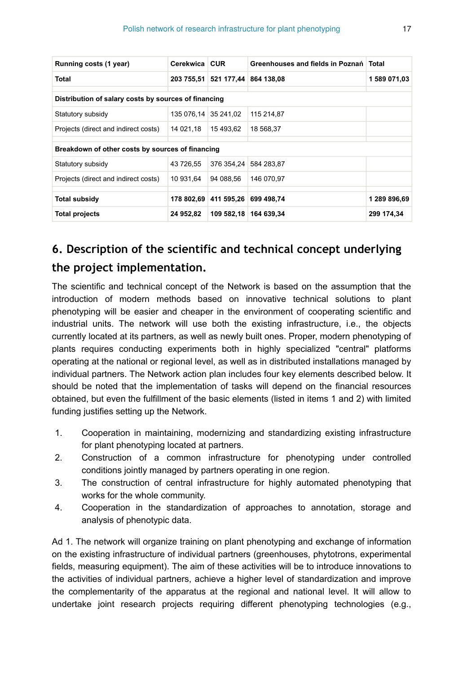| Running costs (1 year)                               | Cerekwica CUR |                                  | Greenhouses and fields in Poznań Total |              |  |  |  |
|------------------------------------------------------|---------------|----------------------------------|----------------------------------------|--------------|--|--|--|
| Total                                                |               | 203 755,51 521 177,44 864 138,08 |                                        | 1 589 071,03 |  |  |  |
|                                                      |               |                                  |                                        |              |  |  |  |
| Distribution of salary costs by sources of financing |               |                                  |                                        |              |  |  |  |
| Statutory subsidy                                    | 135 076.14    | 35 241.02                        | 115 214,87                             |              |  |  |  |
| Projects (direct and indirect costs)                 | 14 021.18     | 15 493.62                        | 18 568.37                              |              |  |  |  |
|                                                      |               |                                  |                                        |              |  |  |  |
| Breakdown of other costs by sources of financing     |               |                                  |                                        |              |  |  |  |
| Statutory subsidy                                    | 43 726.55     | 376 354.24                       | 584 283.87                             |              |  |  |  |
| Projects (direct and indirect costs)                 | 10 931.64     | 94 088.56                        | 146 070.97                             |              |  |  |  |
|                                                      |               |                                  |                                        |              |  |  |  |
| <b>Total subsidy</b>                                 | 178 802.69    | 411 595,26 699 498,74            |                                        | 1 289 896,69 |  |  |  |
| <b>Total projects</b>                                | 24 952.82     | 109 582,18 164 639,34            |                                        | 299 174.34   |  |  |  |

# **6. Description of the scientific and technical concept underlying the project implementation.**

The scientific and technical concept of the Network is based on the assumption that the introduction of modern methods based on innovative technical solutions to plant phenotyping will be easier and cheaper in the environment of cooperating scientific and industrial units. The network will use both the existing infrastructure, i.e., the objects currently located at its partners, as well as newly built ones. Proper, modern phenotyping of plants requires conducting experiments both in highly specialized "central" platforms operating at the national or regional level, as well as in distributed installations managed by individual partners. The Network action plan includes four key elements described below. It should be noted that the implementation of tasks will depend on the financial resources obtained, but even the fulfillment of the basic elements (listed in items 1 and 2) with limited funding justifies setting up the Network.

- 1. Cooperation in maintaining, modernizing and standardizing existing infrastructure for plant phenotyping located at partners.
- 2. Construction of a common infrastructure for phenotyping under controlled conditions jointly managed by partners operating in one region.
- 3. The construction of central infrastructure for highly automated phenotyping that works for the whole community.
- 4. Cooperation in the standardization of approaches to annotation, storage and analysis of phenotypic data.

Ad 1. The network will organize training on plant phenotyping and exchange of information on the existing infrastructure of individual partners (greenhouses, phytotrons, experimental fields, measuring equipment). The aim of these activities will be to introduce innovations to the activities of individual partners, achieve a higher level of standardization and improve the complementarity of the apparatus at the regional and national level. It will allow to undertake joint research projects requiring different phenotyping technologies (e.g.,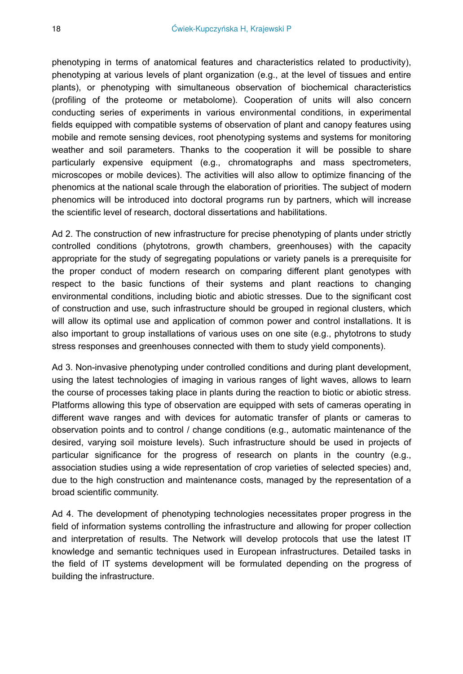phenotyping in terms of anatomical features and characteristics related to productivity), phenotyping at various levels of plant organization (e.g., at the level of tissues and entire plants), or phenotyping with simultaneous observation of biochemical characteristics (profiling of the proteome or metabolome). Cooperation of units will also concern conducting series of experiments in various environmental conditions, in experimental fields equipped with compatible systems of observation of plant and canopy features using mobile and remote sensing devices, root phenotyping systems and systems for monitoring weather and soil parameters. Thanks to the cooperation it will be possible to share particularly expensive equipment (e.g., chromatographs and mass spectrometers, microscopes or mobile devices). The activities will also allow to optimize financing of the phenomics at the national scale through the elaboration of priorities. The subject of modern phenomics will be introduced into doctoral programs run by partners, which will increase the scientific level of research, doctoral dissertations and habilitations.

Ad 2. The construction of new infrastructure for precise phenotyping of plants under strictly controlled conditions (phytotrons, growth chambers, greenhouses) with the capacity appropriate for the study of segregating populations or variety panels is a prerequisite for the proper conduct of modern research on comparing different plant genotypes with respect to the basic functions of their systems and plant reactions to changing environmental conditions, including biotic and abiotic stresses. Due to the significant cost of construction and use, such infrastructure should be grouped in regional clusters, which will allow its optimal use and application of common power and control installations. It is also important to group installations of various uses on one site (e.g., phytotrons to study stress responses and greenhouses connected with them to study yield components).

Ad 3. Non-invasive phenotyping under controlled conditions and during plant development, using the latest technologies of imaging in various ranges of light waves, allows to learn the course of processes taking place in plants during the reaction to biotic or abiotic stress. Platforms allowing this type of observation are equipped with sets of cameras operating in different wave ranges and with devices for automatic transfer of plants or cameras to observation points and to control / change conditions (e.g., automatic maintenance of the desired, varying soil moisture levels). Such infrastructure should be used in projects of particular significance for the progress of research on plants in the country (e.g., association studies using a wide representation of crop varieties of selected species) and, due to the high construction and maintenance costs, managed by the representation of a broad scientific community.

Ad 4. The development of phenotyping technologies necessitates proper progress in the field of information systems controlling the infrastructure and allowing for proper collection and interpretation of results. The Network will develop protocols that use the latest IT knowledge and semantic techniques used in European infrastructures. Detailed tasks in the field of IT systems development will be formulated depending on the progress of building the infrastructure.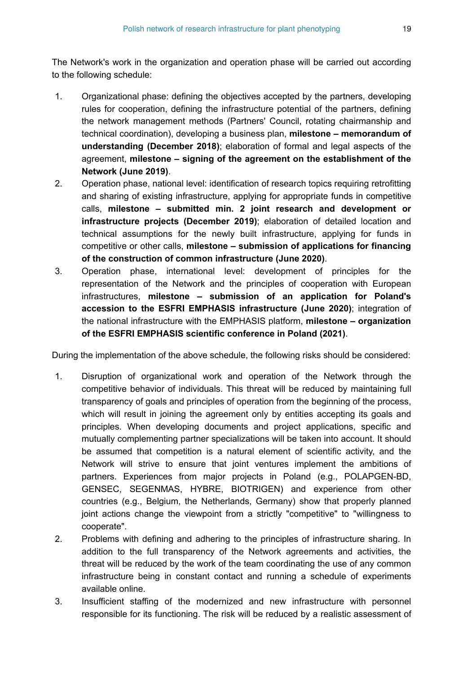The Network's work in the organization and operation phase will be carried out according to the following schedule:

- 1. Organizational phase: defining the objectives accepted by the partners, developing rules for cooperation, defining the infrastructure potential of the partners, defining the network management methods (Partners' Council, rotating chairmanship and technical coordination), developing a business plan, **milestone – memorandum of understanding (December 2018)**; elaboration of formal and legal aspects of the agreement, **milestone – signing of the agreement on the establishment of the Network (June 2019)**.
- 2. Operation phase, national level: identification of research topics requiring retrofitting and sharing of existing infrastructure, applying for appropriate funds in competitive calls, **milestone – submitted min. 2 joint research and development or infrastructure projects (December 2019)**; elaboration of detailed location and technical assumptions for the newly built infrastructure, applying for funds in competitive or other calls, **milestone – submission of applications for financing of the construction of common infrastructure (June 2020)**.
- 3. Operation phase, international level: development of principles for the representation of the Network and the principles of cooperation with European infrastructures, **milestone – submission of an application for Poland's accession to the ESFRI EMPHASIS infrastructure (June 2020)**; integration of the national infrastructure with the EMPHASIS platform, **milestone – organization of the ESFRI EMPHASIS scientific conference in Poland (2021)**.

During the implementation of the above schedule, the following risks should be considered:

- 1. Disruption of organizational work and operation of the Network through the competitive behavior of individuals. This threat will be reduced by maintaining full transparency of goals and principles of operation from the beginning of the process, which will result in joining the agreement only by entities accepting its goals and principles. When developing documents and project applications, specific and mutually complementing partner specializations will be taken into account. It should be assumed that competition is a natural element of scientific activity, and the Network will strive to ensure that joint ventures implement the ambitions of partners. Experiences from major projects in Poland (e.g., POLAPGEN-BD, GENSEC, SEGENMAS, HYBRE, BIOTRIGEN) and experience from other countries (e.g., Belgium, the Netherlands, Germany) show that properly planned joint actions change the viewpoint from a strictly "competitive" to "willingness to cooperate".
- 2. Problems with defining and adhering to the principles of infrastructure sharing. In addition to the full transparency of the Network agreements and activities, the threat will be reduced by the work of the team coordinating the use of any common infrastructure being in constant contact and running a schedule of experiments available online.
- 3. Insufficient staffing of the modernized and new infrastructure with personnel responsible for its functioning. The risk will be reduced by a realistic assessment of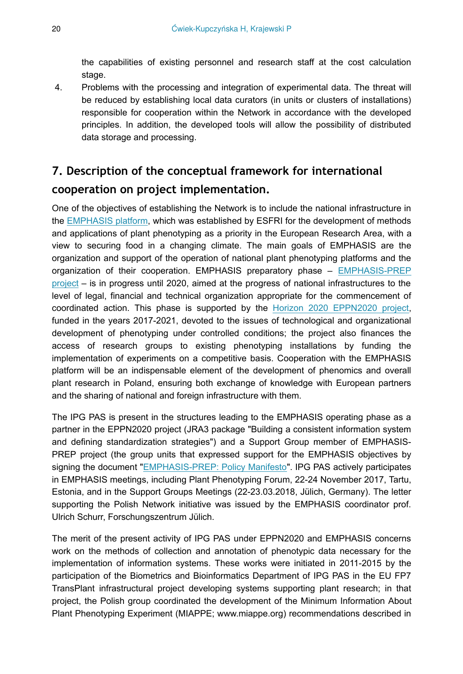the capabilities of existing personnel and research staff at the cost calculation stage.

4. Problems with the processing and integration of experimental data. The threat will be reduced by establishing local data curators (in units or clusters of installations) responsible for cooperation within the Network in accordance with the developed principles. In addition, the developed tools will allow the possibility of distributed data storage and processing.

# **7. Description of the conceptual framework for international cooperation on project implementation.**

One of the objectives of establishing the Network is to include the national infrastructure in the [EMPHASIS platform](https://emphasis.plant-phenotyping.eu), which was established by ESFRI for the development of methods and applications of plant phenotyping as a priority in the European Research Area, with a view to securing food in a changing climate. The main goals of EMPHASIS are the organization and support of the operation of national plant phenotyping platforms and the organization of their cooperation. EMPHASIS preparatory phase – [EMPHASIS-PREP](https://emphasis.plant-phenotyping.eu/EMPHASIS-PREP) [project](https://emphasis.plant-phenotyping.eu/EMPHASIS-PREP) – is in progress until 2020, aimed at the progress of national infrastructures to the level of legal, financial and technical organization appropriate for the commencement of coordinated action. This phase is supported by the [Horizon 2020 EPPN2020 project,](http://eppn2020.plant-phenotyping.eu) funded in the years 2017-2021, devoted to the issues of technological and organizational development of phenotyping under controlled conditions; the project also finances the access of research groups to existing phenotyping installations by funding the implementation of experiments on a competitive basis. Cooperation with the EMPHASIS platform will be an indispensable element of the development of phenomics and overall plant research in Poland, ensuring both exchange of knowledge with European partners and the sharing of national and foreign infrastructure with them.

The IPG PAS is present in the structures leading to the EMPHASIS operating phase as a partner in the EPPN2020 project (JRA3 package "Building a consistent information system and defining standardization strategies") and a Support Group member of EMPHASIS-PREP project (the group units that expressed support for the EMPHASIS objectives by signing the document "[EMPHASIS-PREP: Policy Manifesto"](https://emphasis.plant-phenotyping.eu/index.php?index=116). IPG PAS actively participates in EMPHASIS meetings, including Plant Phenotyping Forum, 22-24 November 2017, Tartu, Estonia, and in the Support Groups Meetings (22-23.03.2018, Jülich, Germany). The letter supporting the Polish Network initiative was issued by the EMPHASIS coordinator prof. Ulrich Schurr, Forschungszentrum Jülich.

The merit of the present activity of IPG PAS under EPPN2020 and EMPHASIS concerns work on the methods of collection and annotation of phenotypic data necessary for the implementation of information systems. These works were initiated in 2011-2015 by the participation of the Biometrics and Bioinformatics Department of IPG PAS in the EU FP7 TransPlant infrastructural project developing systems supporting plant research; in that project, the Polish group coordinated the development of the Minimum Information About Plant Phenotyping Experiment (MIAPPE; www.miappe.org) recommendations described in